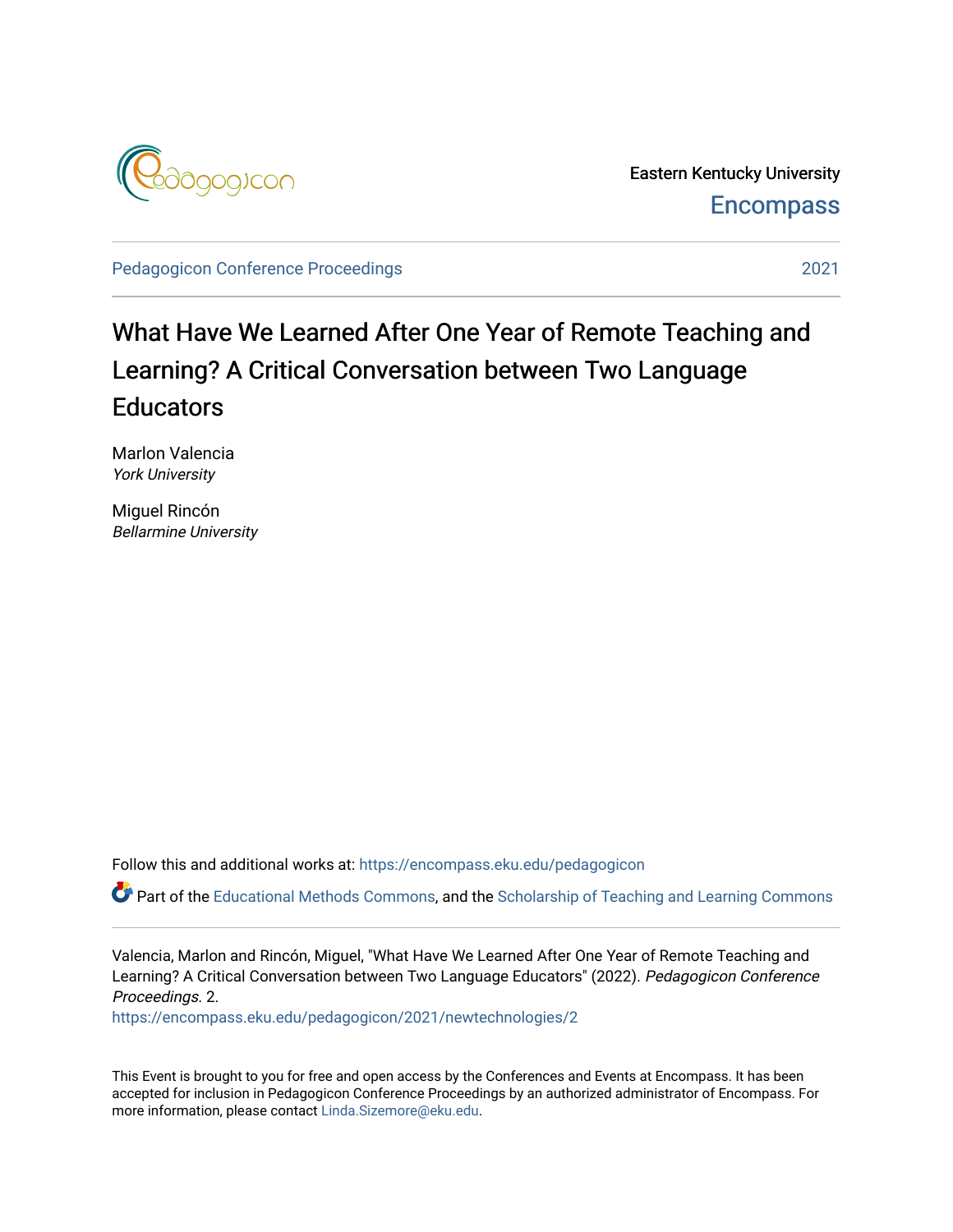

Eastern Kentucky University **Encompass** 

[Pedagogicon Conference Proceedings](https://encompass.eku.edu/pedagogicon) [2021](https://encompass.eku.edu/pedagogicon/2021) 

## What Have We Learned After One Year of Remote Teaching and Learning? A Critical Conversation between Two Language **Educators**

Marlon Valencia York University

Miguel Rincón Bellarmine University

Follow this and additional works at: [https://encompass.eku.edu/pedagogicon](https://encompass.eku.edu/pedagogicon?utm_source=encompass.eku.edu%2Fpedagogicon%2F2021%2Fnewtechnologies%2F2&utm_medium=PDF&utm_campaign=PDFCoverPages) 

Part of the [Educational Methods Commons,](http://network.bepress.com/hgg/discipline/1227?utm_source=encompass.eku.edu%2Fpedagogicon%2F2021%2Fnewtechnologies%2F2&utm_medium=PDF&utm_campaign=PDFCoverPages) and the Scholarship of Teaching and Learning Commons

Valencia, Marlon and Rincón, Miguel, "What Have We Learned After One Year of Remote Teaching and Learning? A Critical Conversation between Two Language Educators" (2022). Pedagogicon Conference Proceedings. 2.

[https://encompass.eku.edu/pedagogicon/2021/newtechnologies/2](https://encompass.eku.edu/pedagogicon/2021/newtechnologies/2?utm_source=encompass.eku.edu%2Fpedagogicon%2F2021%2Fnewtechnologies%2F2&utm_medium=PDF&utm_campaign=PDFCoverPages) 

This Event is brought to you for free and open access by the Conferences and Events at Encompass. It has been accepted for inclusion in Pedagogicon Conference Proceedings by an authorized administrator of Encompass. For more information, please contact [Linda.Sizemore@eku.edu.](mailto:Linda.Sizemore@eku.edu)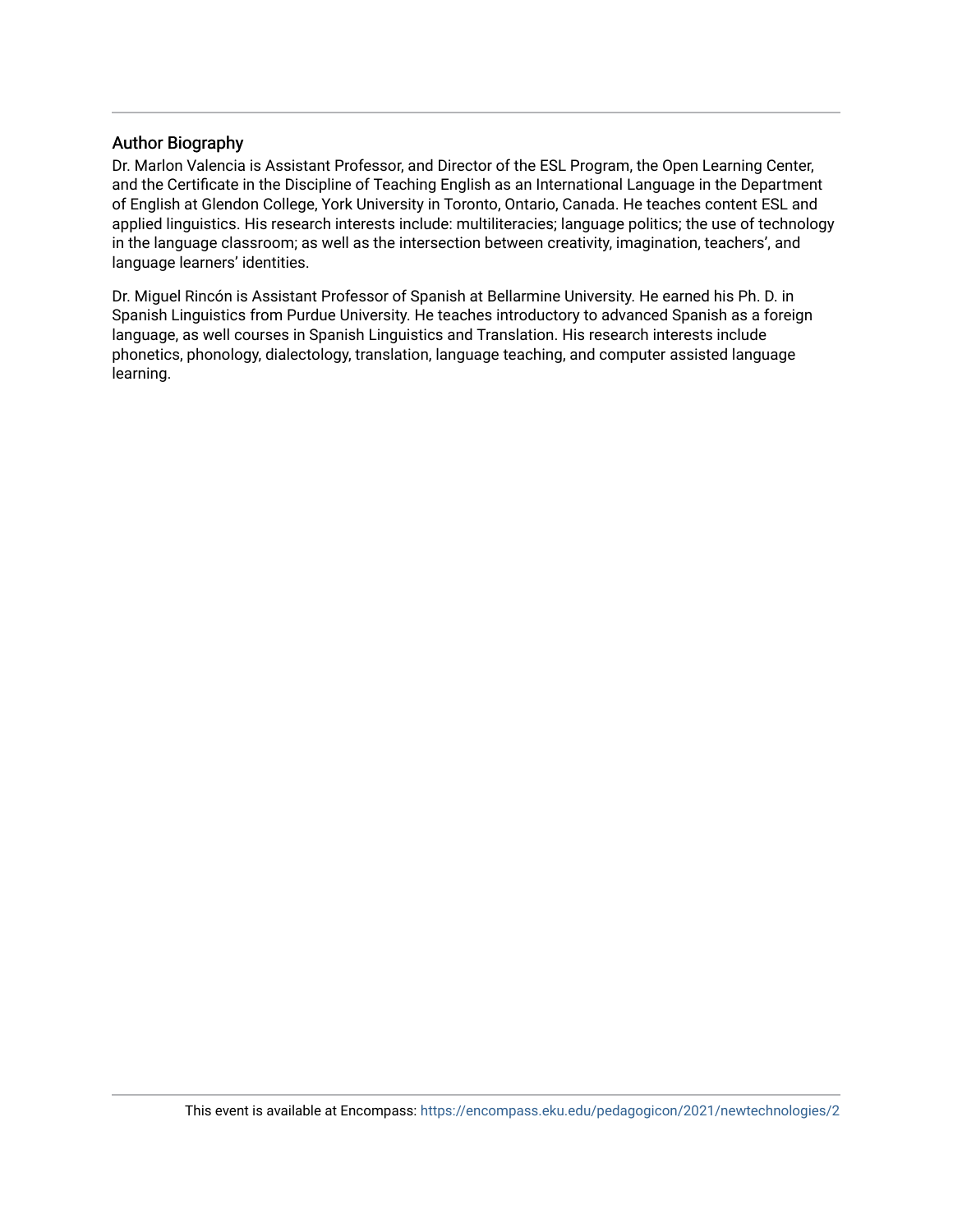#### Author Biography

Dr. Marlon Valencia is Assistant Professor, and Director of the ESL Program, the Open Learning Center, and the Certificate in the Discipline of Teaching English as an International Language in the Department of English at Glendon College, York University in Toronto, Ontario, Canada. He teaches content ESL and applied linguistics. His research interests include: multiliteracies; language politics; the use of technology in the language classroom; as well as the intersection between creativity, imagination, teachers', and language learners' identities.

Dr. Miguel Rincón is Assistant Professor of Spanish at Bellarmine University. He earned his Ph. D. in Spanish Linguistics from Purdue University. He teaches introductory to advanced Spanish as a foreign language, as well courses in Spanish Linguistics and Translation. His research interests include phonetics, phonology, dialectology, translation, language teaching, and computer assisted language learning.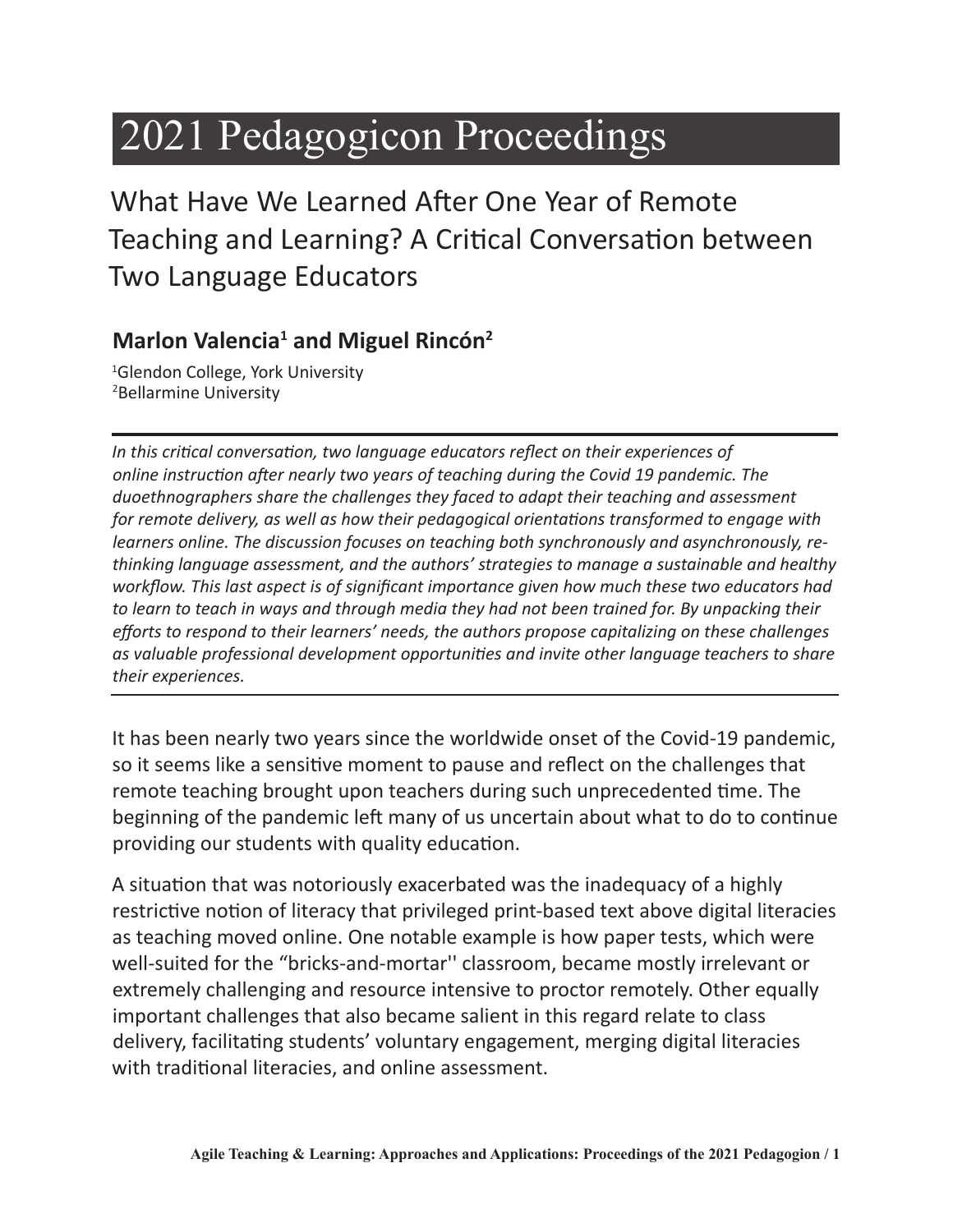# 2021 Pedagogicon Proceedings

What Have We Learned After One Year of Remote Teaching and Learning? A Critical Conversation between Two Language Educators

### **Marlon Valencia<sup>1</sup> and Miguel Rincón<sup>2</sup>**

1 Glendon College, York University 2 Bellarmine University

*In this critical conversation, two language educators reflect on their experiences of online instruction after nearly two years of teaching during the Covid 19 pandemic. The duoethnographers share the challenges they faced to adapt their teaching and assessment for remote delivery, as well as how their pedagogical orientations transformed to engage with learners online. The discussion focuses on teaching both synchronously and asynchronously, rethinking language assessment, and the authors' strategies to manage a sustainable and healthy workflow. This last aspect is of significant importance given how much these two educators had to learn to teach in ways and through media they had not been trained for. By unpacking their efforts to respond to their learners' needs, the authors propose capitalizing on these challenges as valuable professional development opportunities and invite other language teachers to share their experiences.*

It has been nearly two years since the worldwide onset of the Covid-19 pandemic, so it seems like a sensitive moment to pause and reflect on the challenges that remote teaching brought upon teachers during such unprecedented time. The beginning of the pandemic left many of us uncertain about what to do to continue providing our students with quality education.

A situation that was notoriously exacerbated was the inadequacy of a highly restrictive notion of literacy that privileged print-based text above digital literacies as teaching moved online. One notable example is how paper tests, which were well-suited for the "bricks-and-mortar'' classroom, became mostly irrelevant or extremely challenging and resource intensive to proctor remotely. Other equally important challenges that also became salient in this regard relate to class delivery, facilitating students' voluntary engagement, merging digital literacies with traditional literacies, and online assessment.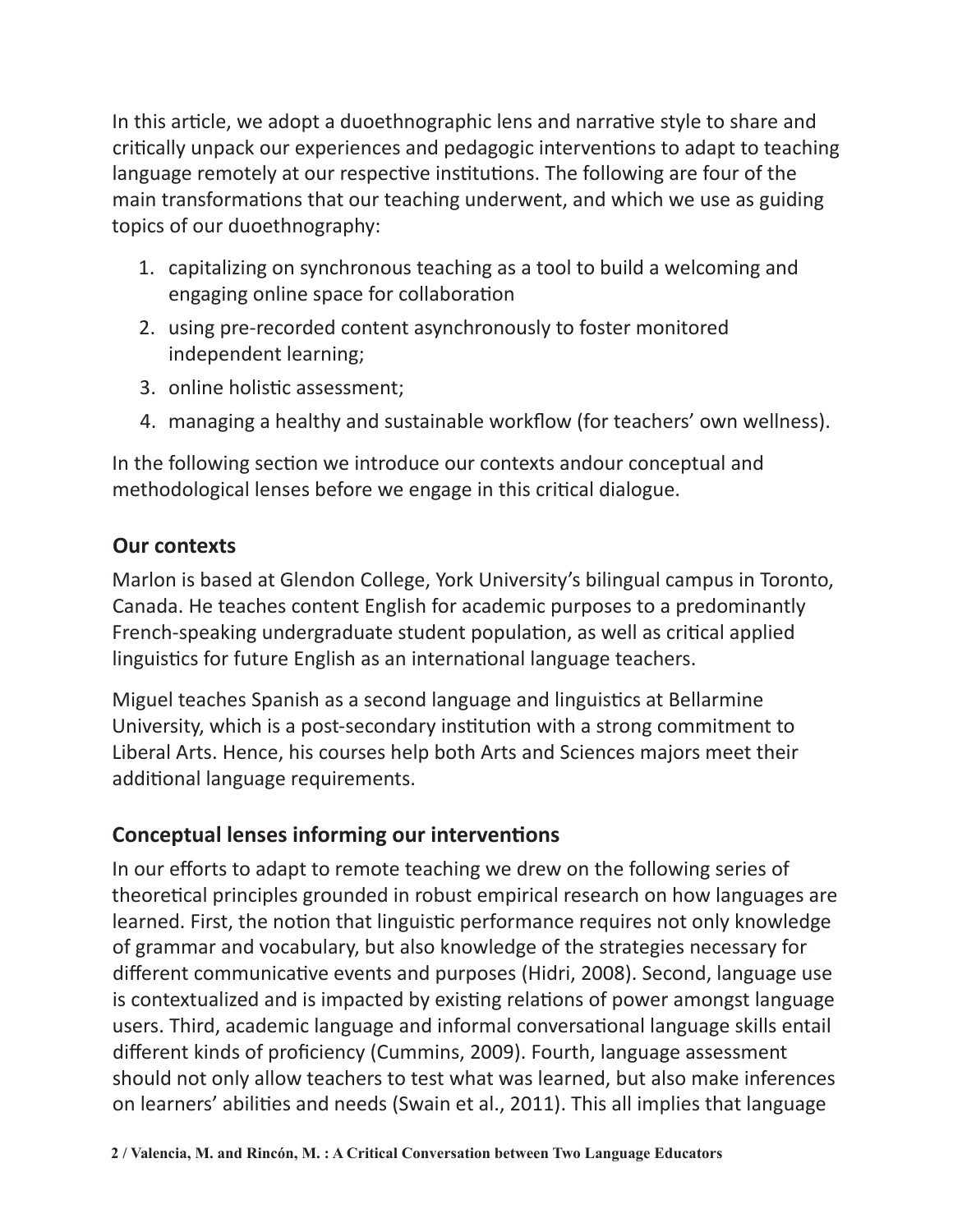In this article, we adopt a duoethnographic lens and narrative style to share and critically unpack our experiences and pedagogic interventions to adapt to teaching language remotely at our respective institutions. The following are four of the main transformations that our teaching underwent, and which we use as guiding topics of our duoethnography:

- 1. capitalizing on synchronous teaching as a tool to build a welcoming and engaging online space for collaboration
- 2. using pre-recorded content asynchronously to foster monitored independent learning;
- 3. online holistic assessment;
- 4. managing a healthy and sustainable workflow (for teachers' own wellness).

In the following section we introduce our contexts andour conceptual and methodological lenses before we engage in this critical dialogue.

#### **Our contexts**

Marlon is based at Glendon College, York University's bilingual campus in Toronto, Canada. He teaches content English for academic purposes to a predominantly French-speaking undergraduate student population, as well as critical applied linguistics for future English as an international language teachers.

Miguel teaches Spanish as a second language and linguistics at Bellarmine University, which is a post-secondary institution with a strong commitment to Liberal Arts. Hence, his courses help both Arts and Sciences majors meet their additional language requirements.

#### **Conceptual lenses informing our interventions**

In our efforts to adapt to remote teaching we drew on the following series of theoretical principles grounded in robust empirical research on how languages are learned. First, the notion that linguistic performance requires not only knowledge of grammar and vocabulary, but also knowledge of the strategies necessary for different communicative events and purposes (Hidri, 2008). Second, language use is contextualized and is impacted by existing relations of power amongst language users. Third, academic language and informal conversational language skills entail different kinds of proficiency (Cummins, 2009). Fourth, language assessment should not only allow teachers to test what was learned, but also make inferences on learners' abilities and needs (Swain et al., 2011). This all implies that language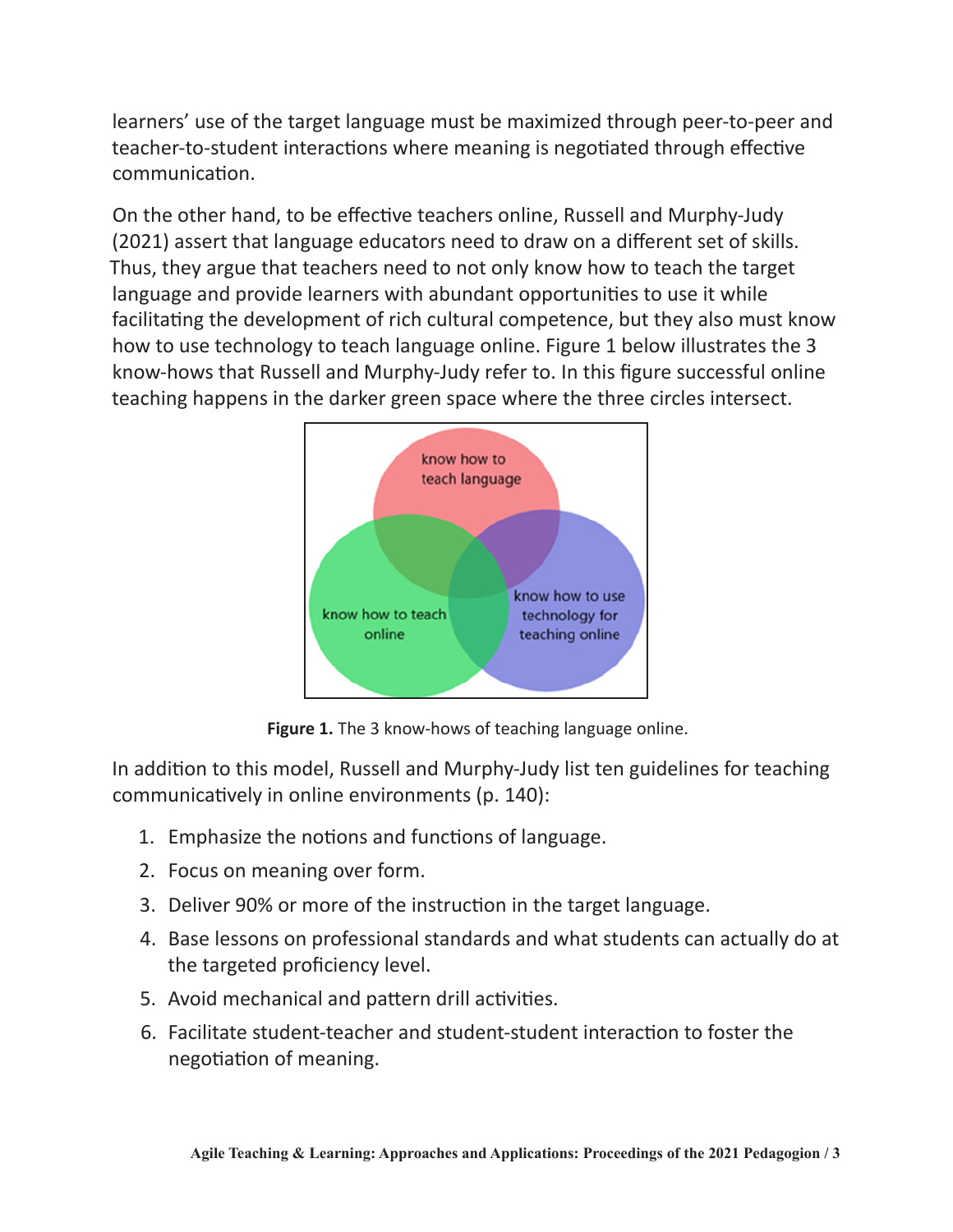learners' use of the target language must be maximized through peer-to-peer and teacher-to-student interactions where meaning is negotiated through effective communication.

On the other hand, to be effective teachers online, Russell and Murphy-Judy (2021) assert that language educators need to draw on a different set of skills. Thus, they argue that teachers need to not only know how to teach the target language and provide learners with abundant opportunities to use it while facilitating the development of rich cultural competence, but they also must know how to use technology to teach language online. Figure 1 below illustrates the 3 know-hows that Russell and Murphy-Judy refer to. In this figure successful online teaching happens in the darker green space where the three circles intersect.



Figure 1. The 3 know-hows of teaching language online.

In addition to this model, Russell and Murphy-Judy list ten guidelines for teaching communicatively in online environments (p. 140):

- 1. Emphasize the notions and functions of language.
- 2. Focus on meaning over form.
- 3. Deliver 90% or more of the instruction in the target language.
- 4. Base lessons on professional standards and what students can actually do at the targeted proficiency level.
- 5. Avoid mechanical and pattern drill activities.
- 6. Facilitate student-teacher and student-student interaction to foster the negotiation of meaning.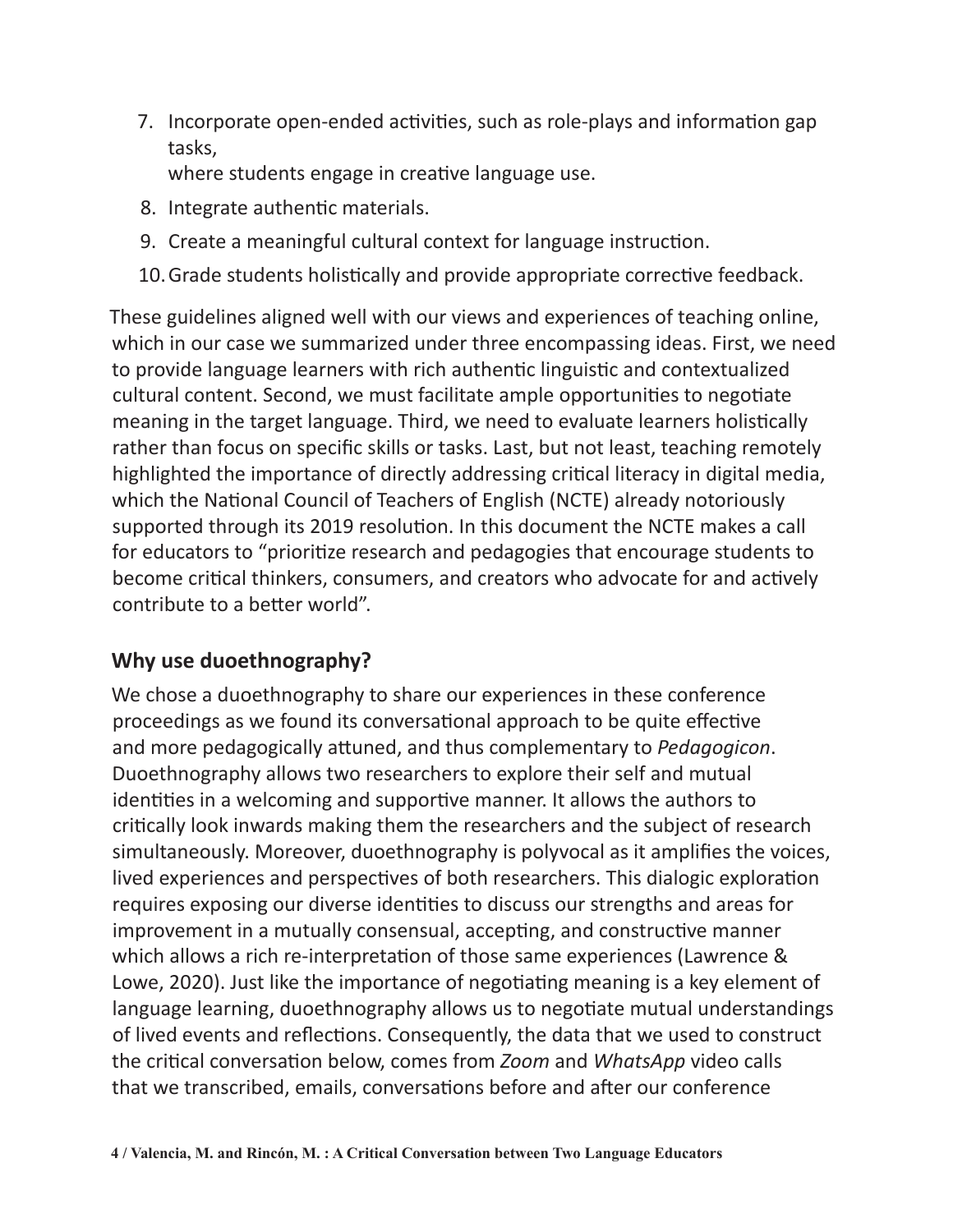7. Incorporate open-ended activities, such as role-plays and information gap tasks,

where students engage in creative language use.

- 8. Integrate authentic materials.
- 9. Create a meaningful cultural context for language instruction.
- 10.Grade students holistically and provide appropriate corrective feedback.

These guidelines aligned well with our views and experiences of teaching online, which in our case we summarized under three encompassing ideas. First, we need to provide language learners with rich authentic linguistic and contextualized cultural content. Second, we must facilitate ample opportunities to negotiate meaning in the target language. Third, we need to evaluate learners holistically rather than focus on specific skills or tasks. Last, but not least, teaching remotely highlighted the importance of directly addressing critical literacy in digital media, which the National Council of Teachers of English (NCTE) already notoriously supported through its 2019 resolution. In this document the NCTE makes a call for educators to "prioritize research and pedagogies that encourage students to become critical thinkers, consumers, and creators who advocate for and actively contribute to a better world".

#### **Why use duoethnography?**

We chose a duoethnography to share our experiences in these conference proceedings as we found its conversational approach to be quite effective and more pedagogically attuned, and thus complementary to *Pedagogicon*. Duoethnography allows two researchers to explore their self and mutual identities in a welcoming and supportive manner. It allows the authors to critically look inwards making them the researchers and the subject of research simultaneously. Moreover, duoethnography is polyvocal as it amplifies the voices, lived experiences and perspectives of both researchers. This dialogic exploration requires exposing our diverse identities to discuss our strengths and areas for improvement in a mutually consensual, accepting, and constructive manner which allows a rich re-interpretation of those same experiences (Lawrence & Lowe, 2020). Just like the importance of negotiating meaning is a key element of language learning, duoethnography allows us to negotiate mutual understandings of lived events and reflections. Consequently, the data that we used to construct the critical conversation below, comes from *Zoom* and *WhatsApp* video calls that we transcribed, emails, conversations before and after our conference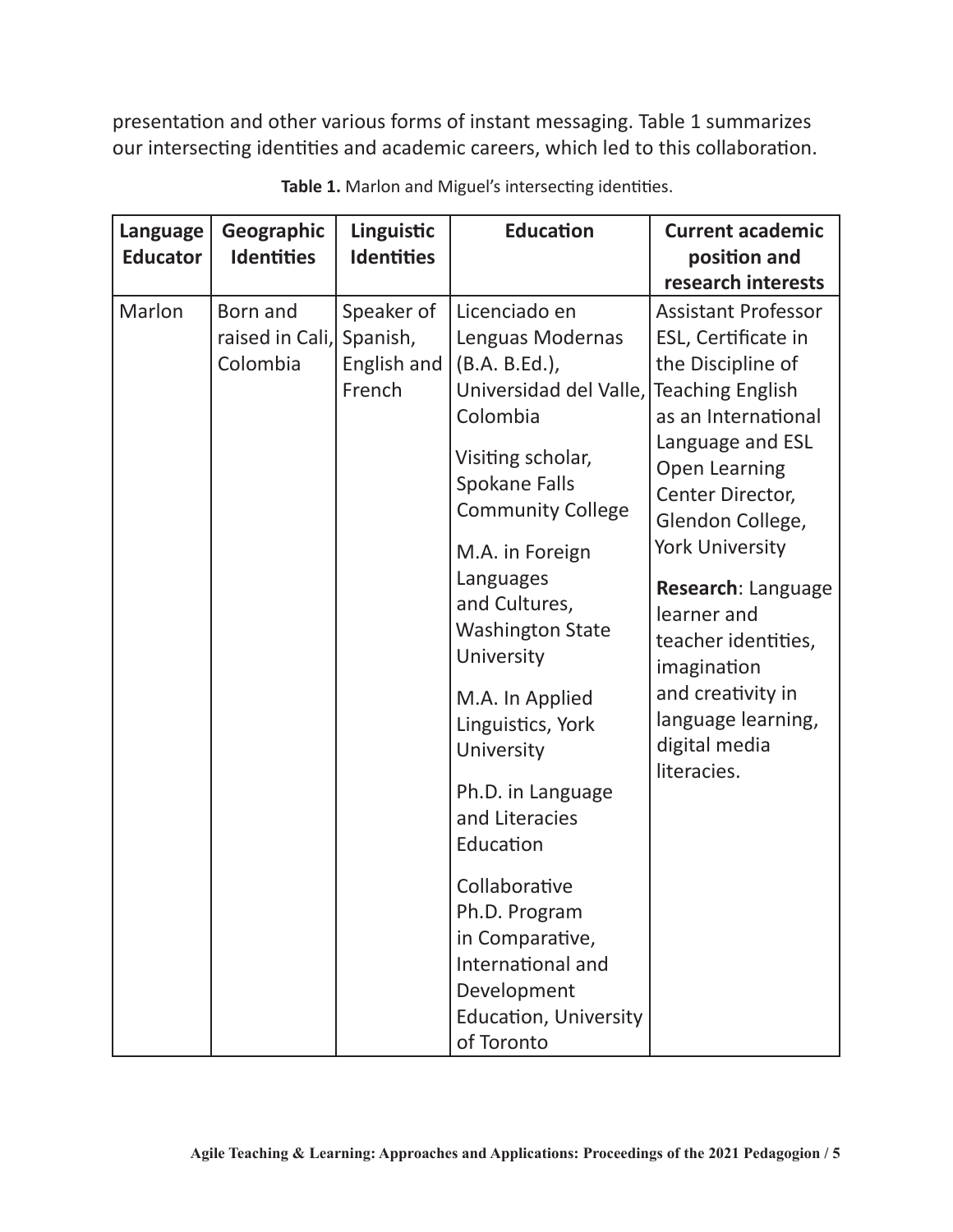presentation and other various forms of instant messaging. Table 1 summarizes our intersecting identities and academic careers, which led to this collaboration.

| <b>Language</b> | Geographic        | Linguistic        | <b>Education</b>                                                      | <b>Current academic</b>    |
|-----------------|-------------------|-------------------|-----------------------------------------------------------------------|----------------------------|
| <b>Educator</b> | <b>Identities</b> | <b>Identities</b> |                                                                       | position and               |
|                 |                   |                   |                                                                       | research interests         |
| Marlon          | Born and          | Speaker of        | Licenciado en                                                         | <b>Assistant Professor</b> |
|                 | raised in Cali,   | Spanish,          | Lenguas Modernas                                                      | ESL, Certificate in        |
|                 | Colombia          | English and       | (B.A. B.Ed.),                                                         | the Discipline of          |
|                 |                   | French            | Universidad del Valle,                                                | <b>Teaching English</b>    |
|                 |                   |                   | Colombia                                                              | as an International        |
|                 |                   |                   | Visiting scholar,<br><b>Spokane Falls</b><br><b>Community College</b> | Language and ESL           |
|                 |                   |                   |                                                                       | <b>Open Learning</b>       |
|                 |                   |                   |                                                                       | Center Director,           |
|                 |                   |                   |                                                                       | Glendon College,           |
|                 |                   |                   | M.A. in Foreign                                                       | <b>York University</b>     |
|                 |                   |                   | Languages                                                             | Research: Language         |
|                 |                   |                   | and Cultures,                                                         | learner and                |
|                 |                   |                   | <b>Washington State</b>                                               | teacher identities,        |
|                 |                   |                   | University                                                            | imagination                |
|                 |                   |                   | M.A. In Applied                                                       | and creativity in          |
|                 |                   |                   | Linguistics, York                                                     | language learning,         |
|                 |                   |                   | University                                                            | digital media              |
|                 |                   |                   |                                                                       | literacies.                |
|                 |                   |                   | Ph.D. in Language                                                     |                            |
|                 |                   |                   | and Literacies                                                        |                            |
|                 |                   |                   | Education                                                             |                            |
|                 |                   |                   | Collaborative                                                         |                            |
|                 |                   |                   | Ph.D. Program                                                         |                            |
|                 |                   |                   | in Comparative,                                                       |                            |
|                 |                   |                   | International and                                                     |                            |
|                 |                   |                   | Development                                                           |                            |
|                 |                   |                   | <b>Education, University</b>                                          |                            |
|                 |                   |                   | of Toronto                                                            |                            |

**Table 1.** Marlon and Miguel's intersecting identities.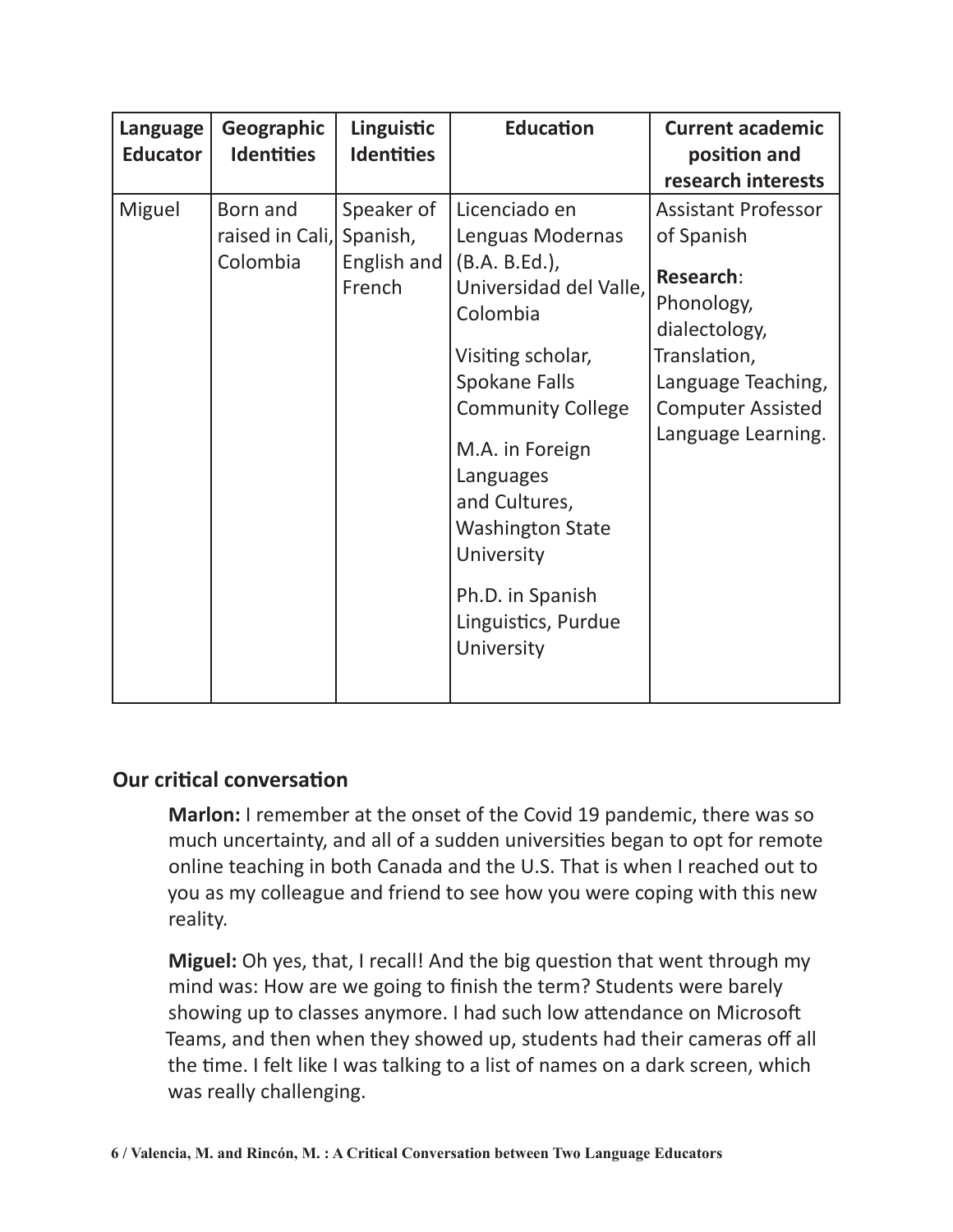| Language<br><b>Educator</b> | Geographic<br><b>Identities</b>         | Linguistic<br><b>Identities</b>                 | <b>Education</b>                                                                                                                                                                                                                                                                                             | <b>Current academic</b><br>position and<br>research interests                                                                                                                       |
|-----------------------------|-----------------------------------------|-------------------------------------------------|--------------------------------------------------------------------------------------------------------------------------------------------------------------------------------------------------------------------------------------------------------------------------------------------------------------|-------------------------------------------------------------------------------------------------------------------------------------------------------------------------------------|
| Miguel                      | Born and<br>raised in Cali,<br>Colombia | Speaker of<br>Spanish,<br>English and<br>French | Licenciado en<br>Lenguas Modernas<br>(B.A. B.Ed.)<br>Universidad del Valle,<br>Colombia<br>Visiting scholar,<br>Spokane Falls<br><b>Community College</b><br>M.A. in Foreign<br>Languages<br>and Cultures,<br><b>Washington State</b><br>University<br>Ph.D. in Spanish<br>Linguistics, Purdue<br>University | <b>Assistant Professor</b><br>of Spanish<br><b>Research:</b><br>Phonology,<br>dialectology,<br>Translation,<br>Language Teaching,<br><b>Computer Assisted</b><br>Language Learning. |

#### **Our critical conversation**

**Marlon:** I remember at the onset of the Covid 19 pandemic, there was so much uncertainty, and all of a sudden universities began to opt for remote online teaching in both Canada and the U.S. That is when I reached out to you as my colleague and friend to see how you were coping with this new reality.

**Miguel:** Oh yes, that, I recall! And the big question that went through my mind was: How are we going to finish the term? Students were barely showing up to classes anymore. I had such low attendance on Microsoft Teams, and then when they showed up, students had their cameras off all the time. I felt like I was talking to a list of names on a dark screen, which was really challenging.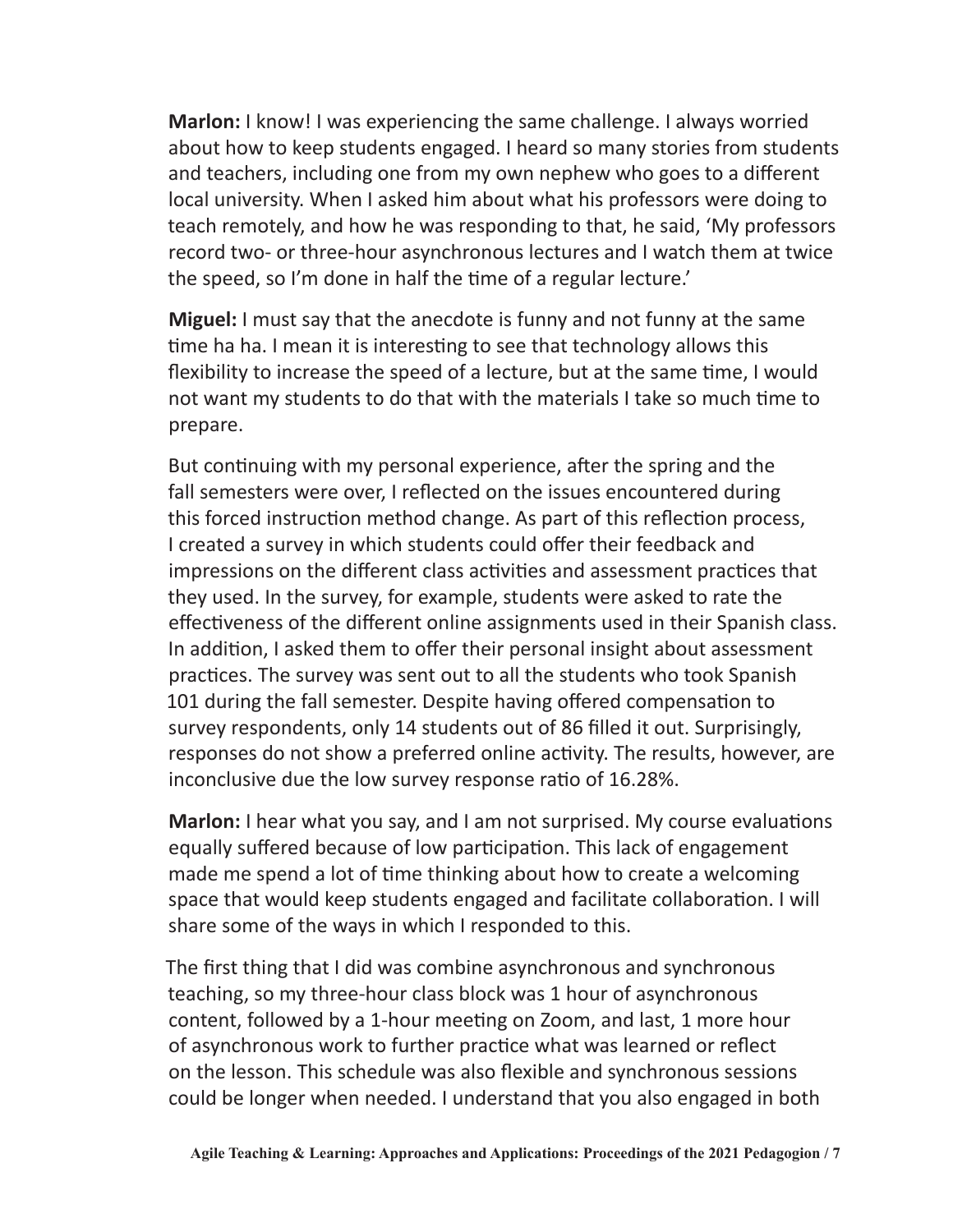**Marlon:** I know! I was experiencing the same challenge. I always worried about how to keep students engaged. I heard so many stories from students and teachers, including one from my own nephew who goes to a different local university. When I asked him about what his professors were doing to teach remotely, and how he was responding to that, he said, 'My professors record two- or three-hour asynchronous lectures and I watch them at twice the speed, so I'm done in half the time of a regular lecture.'

**Miguel:** I must say that the anecdote is funny and not funny at the same time ha ha. I mean it is interesting to see that technology allows this flexibility to increase the speed of a lecture, but at the same time, I would not want my students to do that with the materials I take so much time to prepare.

But continuing with my personal experience, after the spring and the fall semesters were over, I reflected on the issues encountered during this forced instruction method change. As part of this reflection process, I created a survey in which students could offer their feedback and impressions on the different class activities and assessment practices that they used. In the survey, for example, students were asked to rate the effectiveness of the different online assignments used in their Spanish class. In addition, I asked them to offer their personal insight about assessment practices. The survey was sent out to all the students who took Spanish 101 during the fall semester. Despite having offered compensation to survey respondents, only 14 students out of 86 filled it out. Surprisingly, responses do not show a preferred online activity. The results, however, are inconclusive due the low survey response ratio of 16.28%.

**Marlon:** I hear what you say, and I am not surprised. My course evaluations equally suffered because of low participation. This lack of engagement made me spend a lot of time thinking about how to create a welcoming space that would keep students engaged and facilitate collaboration. I will share some of the ways in which I responded to this.

The first thing that I did was combine asynchronous and synchronous teaching, so my three-hour class block was 1 hour of asynchronous content, followed by a 1-hour meeting on Zoom, and last, 1 more hour of asynchronous work to further practice what was learned or reflect on the lesson. This schedule was also flexible and synchronous sessions could be longer when needed. I understand that you also engaged in both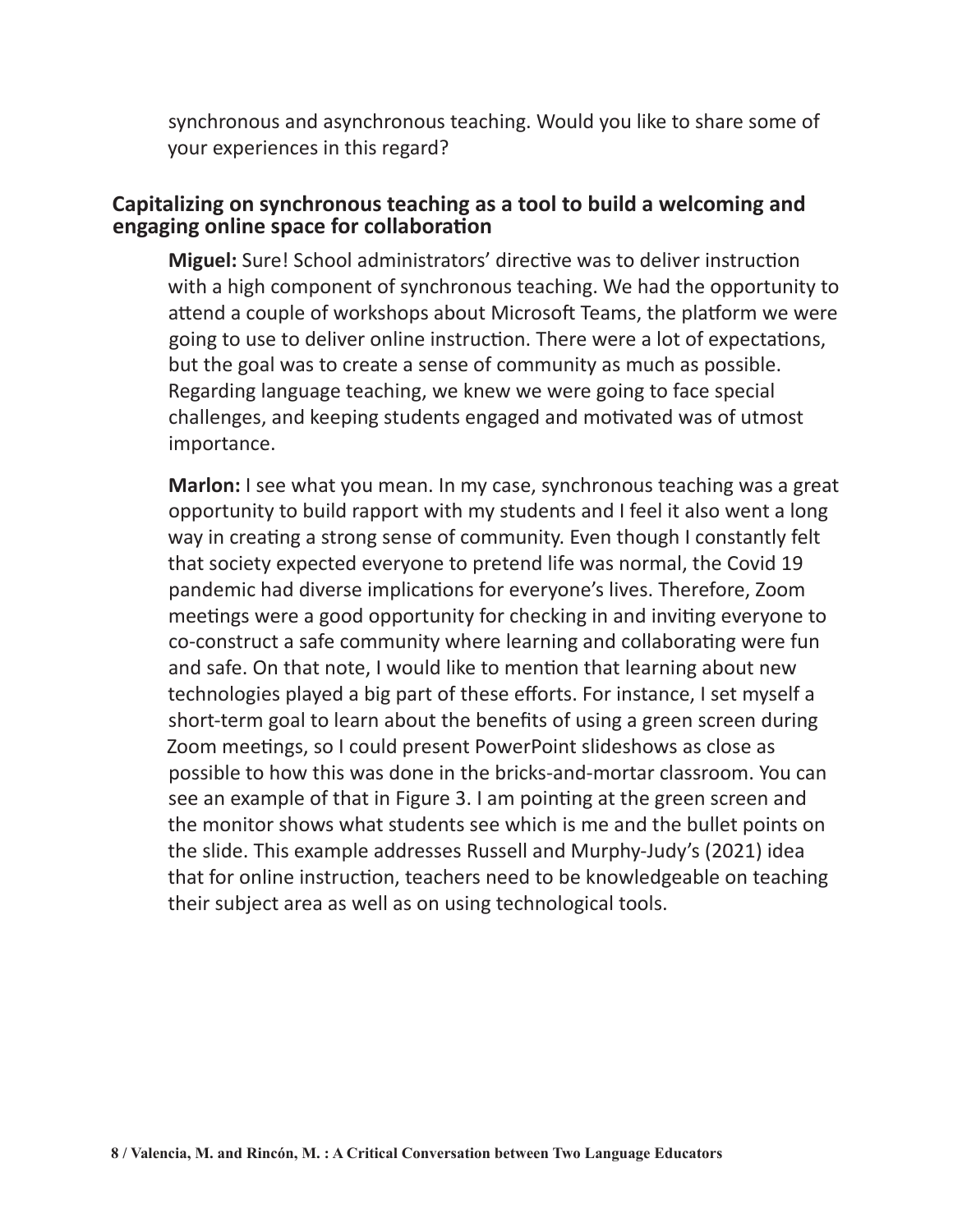synchronous and asynchronous teaching. Would you like to share some of your experiences in this regard?

#### **Capitalizing on synchronous teaching as a tool to build a welcoming and engaging online space for collaboration**

**Miguel:** Sure! School administrators' directive was to deliver instruction with a high component of synchronous teaching. We had the opportunity to attend a couple of workshops about Microsoft Teams, the platform we were going to use to deliver online instruction. There were a lot of expectations, but the goal was to create a sense of community as much as possible. Regarding language teaching, we knew we were going to face special challenges, and keeping students engaged and motivated was of utmost importance.

**Marlon:** I see what you mean. In my case, synchronous teaching was a great opportunity to build rapport with my students and I feel it also went a long way in creating a strong sense of community. Even though I constantly felt that society expected everyone to pretend life was normal, the Covid 19 pandemic had diverse implications for everyone's lives. Therefore, Zoom meetings were a good opportunity for checking in and inviting everyone to co-construct a safe community where learning and collaborating were fun and safe. On that note, I would like to mention that learning about new technologies played a big part of these efforts. For instance, I set myself a short-term goal to learn about the benefits of using a green screen during Zoom meetings, so I could present PowerPoint slideshows as close as possible to how this was done in the bricks-and-mortar classroom. You can see an example of that in Figure 3. I am pointing at the green screen and the monitor shows what students see which is me and the bullet points on the slide. This example addresses Russell and Murphy-Judy's (2021) idea that for online instruction, teachers need to be knowledgeable on teaching their subject area as well as on using technological tools.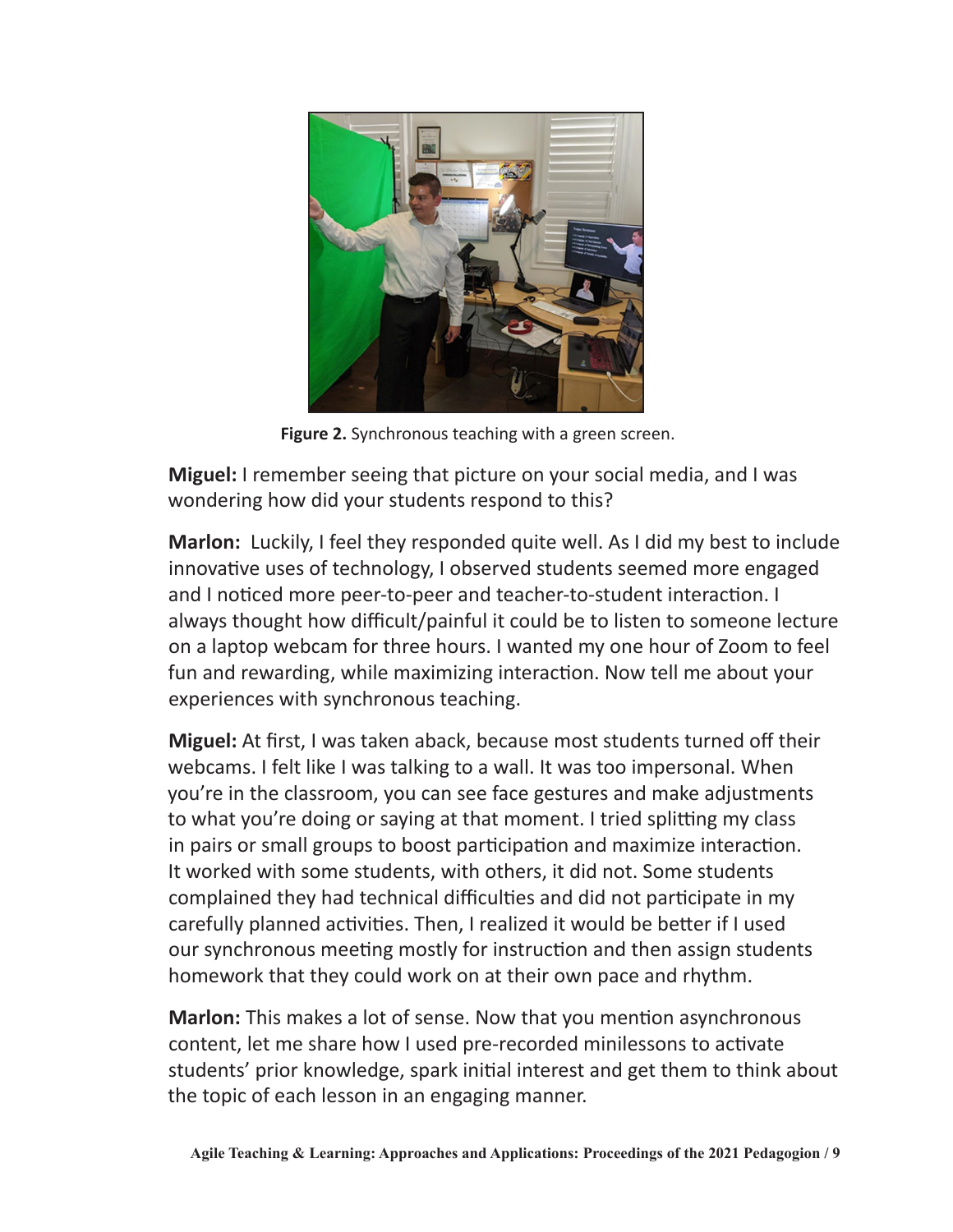

**Figure 2.** Synchronous teaching with a green screen.

**Miguel:** I remember seeing that picture on your social media, and I was wondering how did your students respond to this?

**Marlon:** Luckily, I feel they responded quite well. As I did my best to include innovative uses of technology, I observed students seemed more engaged and I noticed more peer-to-peer and teacher-to-student interaction. I always thought how difficult/painful it could be to listen to someone lecture on a laptop webcam for three hours. I wanted my one hour of Zoom to feel fun and rewarding, while maximizing interaction. Now tell me about your experiences with synchronous teaching.

**Miguel:** At first, I was taken aback, because most students turned off their webcams. I felt like I was talking to a wall. It was too impersonal. When you're in the classroom, you can see face gestures and make adjustments to what you're doing or saying at that moment. I tried splitting my class in pairs or small groups to boost participation and maximize interaction. It worked with some students, with others, it did not. Some students complained they had technical difficulties and did not participate in my carefully planned activities. Then, I realized it would be better if I used our synchronous meeting mostly for instruction and then assign students homework that they could work on at their own pace and rhythm.

**Marlon:** This makes a lot of sense. Now that you mention asynchronous content, let me share how I used pre-recorded minilessons to activate students' prior knowledge, spark initial interest and get them to think about the topic of each lesson in an engaging manner.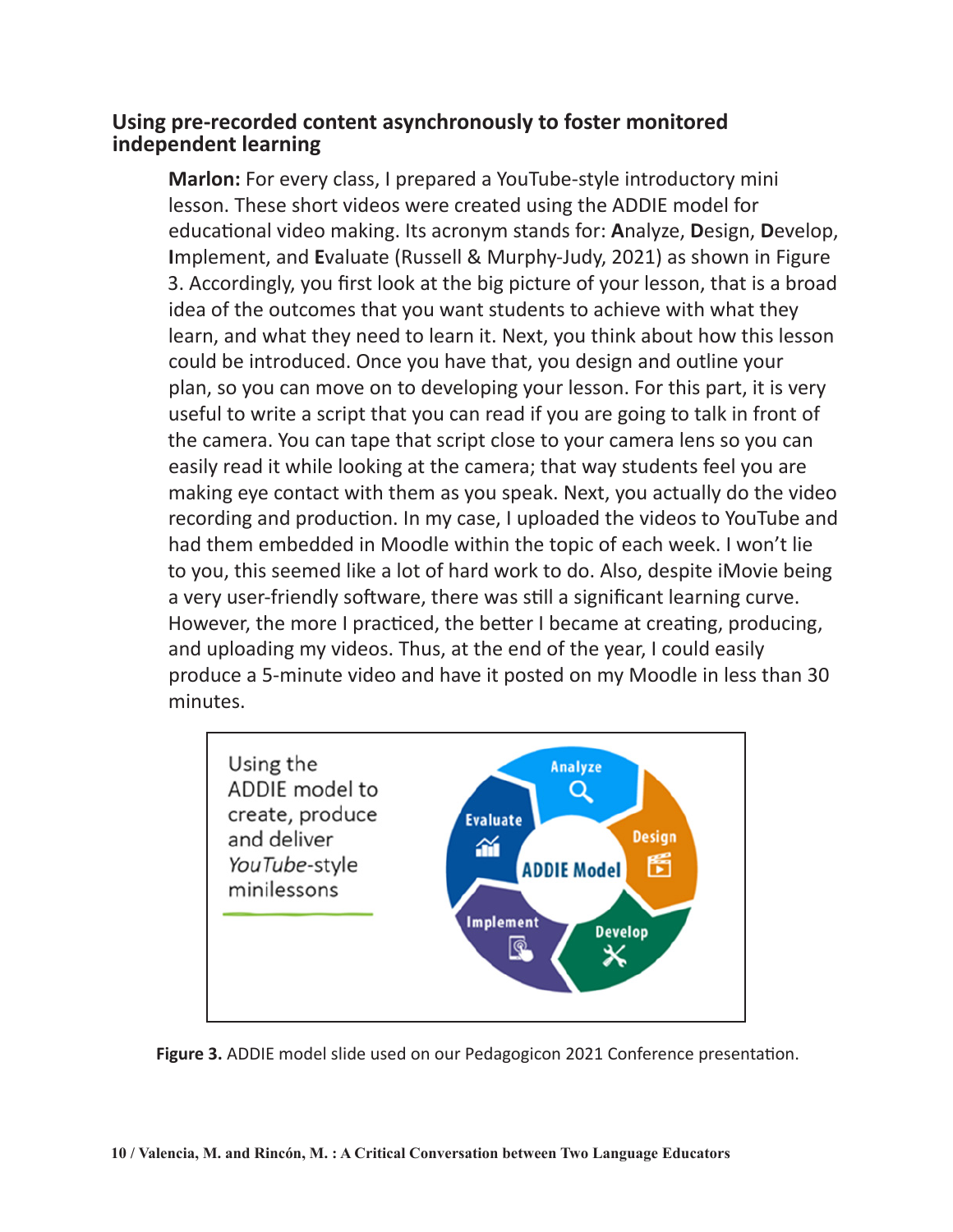#### **Using pre-recorded content asynchronously to foster monitored independent learning**

**Marlon:** For every class, I prepared a YouTube-style introductory mini lesson. These short videos were created using the ADDIE model for educational video making. Its acronym stands for: **A**nalyze, **D**esign, **D**evelop, **I**mplement, and **E**valuate (Russell & Murphy-Judy, 2021) as shown in Figure 3. Accordingly, you first look at the big picture of your lesson, that is a broad idea of the outcomes that you want students to achieve with what they learn, and what they need to learn it. Next, you think about how this lesson could be introduced. Once you have that, you design and outline your plan, so you can move on to developing your lesson. For this part, it is very useful to write a script that you can read if you are going to talk in front of the camera. You can tape that script close to your camera lens so you can easily read it while looking at the camera; that way students feel you are making eye contact with them as you speak. Next, you actually do the video recording and production. In my case, I uploaded the videos to YouTube and had them embedded in Moodle within the topic of each week. I won't lie to you, this seemed like a lot of hard work to do. Also, despite iMovie being a very user-friendly software, there was still a significant learning curve. However, the more I practiced, the better I became at creating, producing, and uploading my videos. Thus, at the end of the year, I could easily produce a 5-minute video and have it posted on my Moodle in less than 30 minutes.



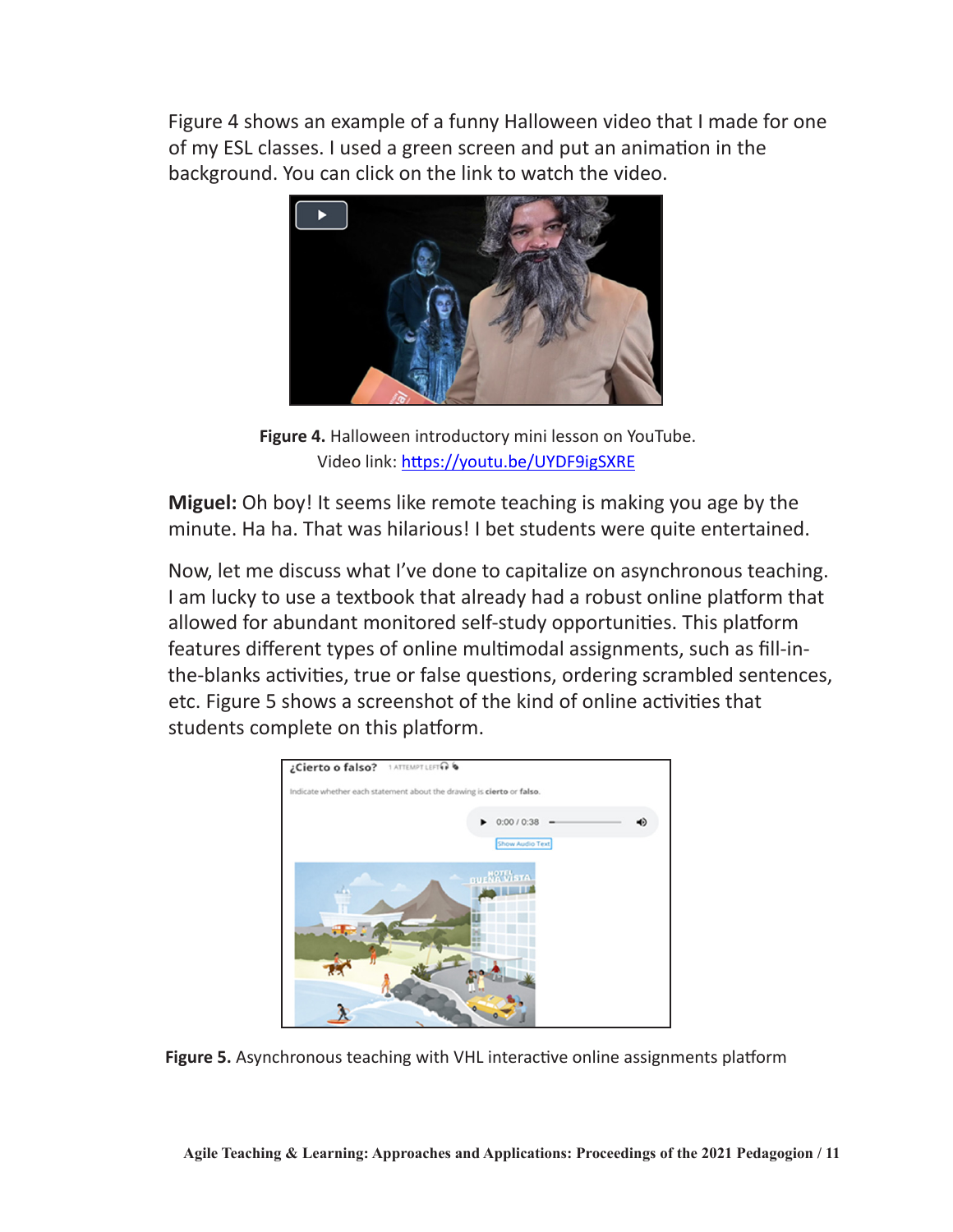Figure 4 shows an example of a funny Halloween video that I made for one of my ESL classes. I used a green screen and put an animation in the background. You can click on the link to watch the video.



**Figure 4.** Halloween introductory mini lesson on YouTube. Video link: <https://youtu.be/UYDF9igSXRE>

**Miguel:** Oh boy! It seems like remote teaching is making you age by the minute. Ha ha. That was hilarious! I bet students were quite entertained.

Now, let me discuss what I've done to capitalize on asynchronous teaching. I am lucky to use a textbook that already had a robust online platform that allowed for abundant monitored self-study opportunities. This platform features different types of online multimodal assignments, such as fill-inthe-blanks activities, true or false questions, ordering scrambled sentences, etc. Figure 5 shows a screenshot of the kind of online activities that students complete on this platform.



**Figure 5.** Asynchronous teaching with VHL interactive online assignments platform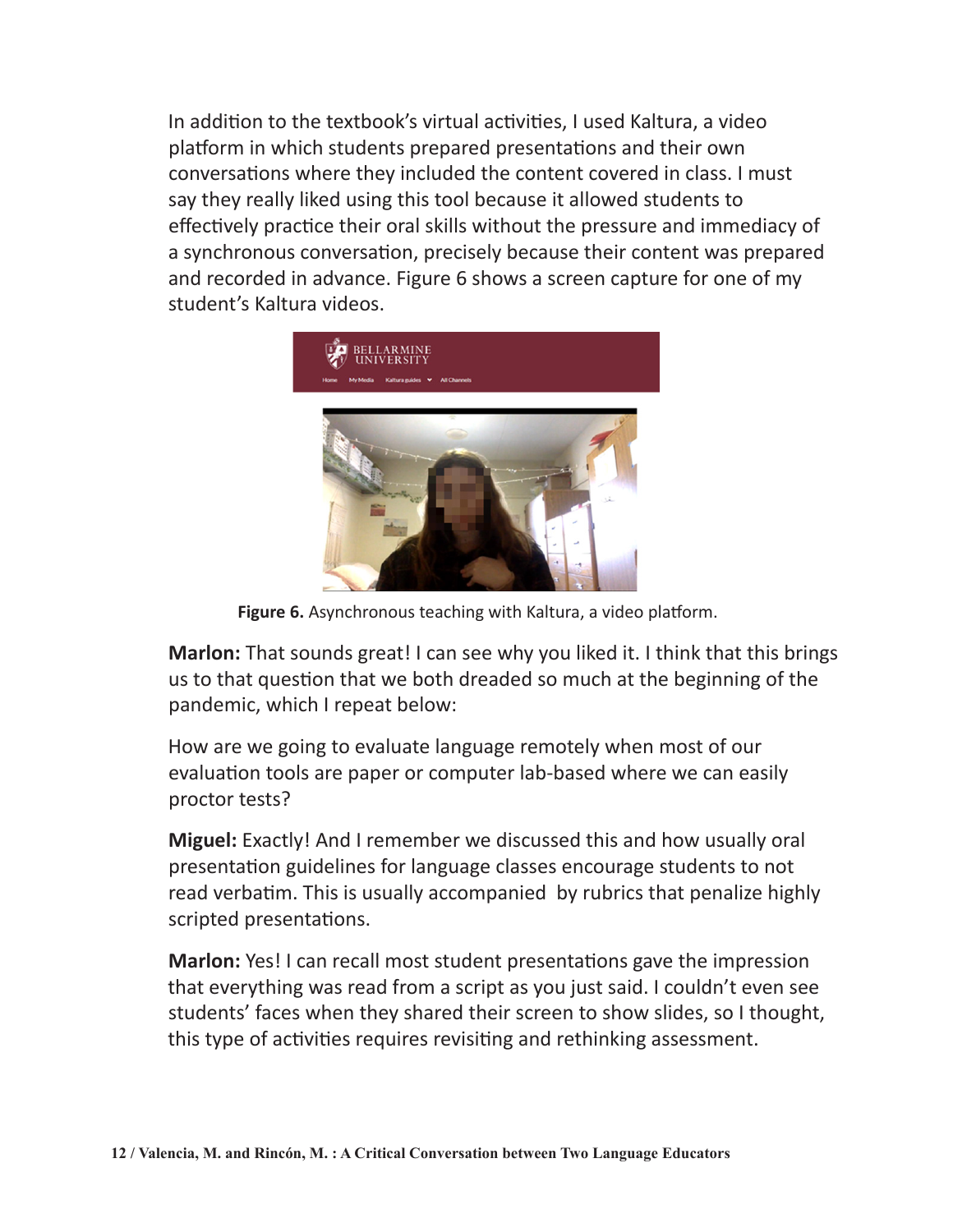In addition to the textbook's virtual activities, I used Kaltura, a video platform in which students prepared presentations and their own conversations where they included the content covered in class. I must say they really liked using this tool because it allowed students to effectively practice their oral skills without the pressure and immediacy of a synchronous conversation, precisely because their content was prepared and recorded in advance. Figure 6 shows a screen capture for one of my student's Kaltura videos.



**Figure 6.** Asynchronous teaching with Kaltura, a video platform.

**Marlon:** That sounds great! I can see why you liked it. I think that this brings us to that question that we both dreaded so much at the beginning of the pandemic, which I repeat below:

How are we going to evaluate language remotely when most of our evaluation tools are paper or computer lab-based where we can easily proctor tests?

**Miguel:** Exactly! And I remember we discussed this and how usually oral presentation guidelines for language classes encourage students to not read verbatim. This is usually accompanied by rubrics that penalize highly scripted presentations.

**Marlon:** Yes! I can recall most student presentations gave the impression that everything was read from a script as you just said. I couldn't even see students' faces when they shared their screen to show slides, so I thought, this type of activities requires revisiting and rethinking assessment.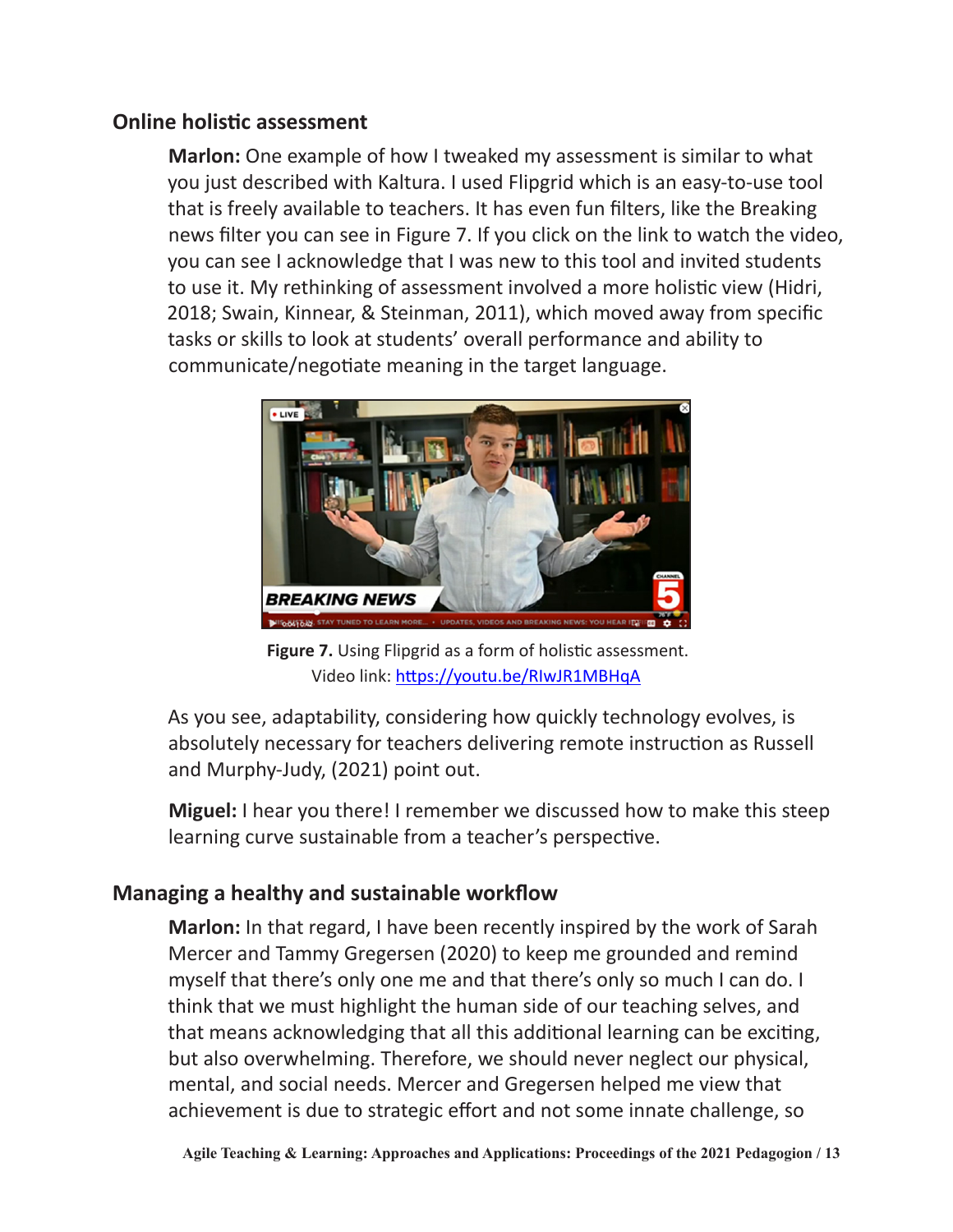#### **Online holistic assessment**

**Marlon:** One example of how I tweaked my assessment is similar to what you just described with Kaltura. I used Flipgrid which is an easy-to-use tool that is freely available to teachers. It has even fun filters, like the Breaking news filter you can see in Figure 7. If you click on the link to watch the video, you can see I acknowledge that I was new to this tool and invited students to use it. My rethinking of assessment involved a more holistic view (Hidri, 2018; Swain, Kinnear, & Steinman, 2011), which moved away from specific tasks or skills to look at students' overall performance and ability to communicate/negotiate meaning in the target language.



**Figure 7.** Using Flipgrid as a form of holistic assessment. Video link:<https://youtu.be/RIwJR1MBHqA>

As you see, adaptability, considering how quickly technology evolves, is absolutely necessary for teachers delivering remote instruction as Russell and Murphy-Judy, (2021) point out.

**Miguel:** I hear you there! I remember we discussed how to make this steep learning curve sustainable from a teacher's perspective.

#### **Managing a healthy and sustainable workflow**

**Marlon:** In that regard, I have been recently inspired by the work of Sarah Mercer and Tammy Gregersen (2020) to keep me grounded and remind myself that there's only one me and that there's only so much I can do. I think that we must highlight the human side of our teaching selves, and that means acknowledging that all this additional learning can be exciting, but also overwhelming. Therefore, we should never neglect our physical, mental, and social needs. Mercer and Gregersen helped me view that achievement is due to strategic effort and not some innate challenge, so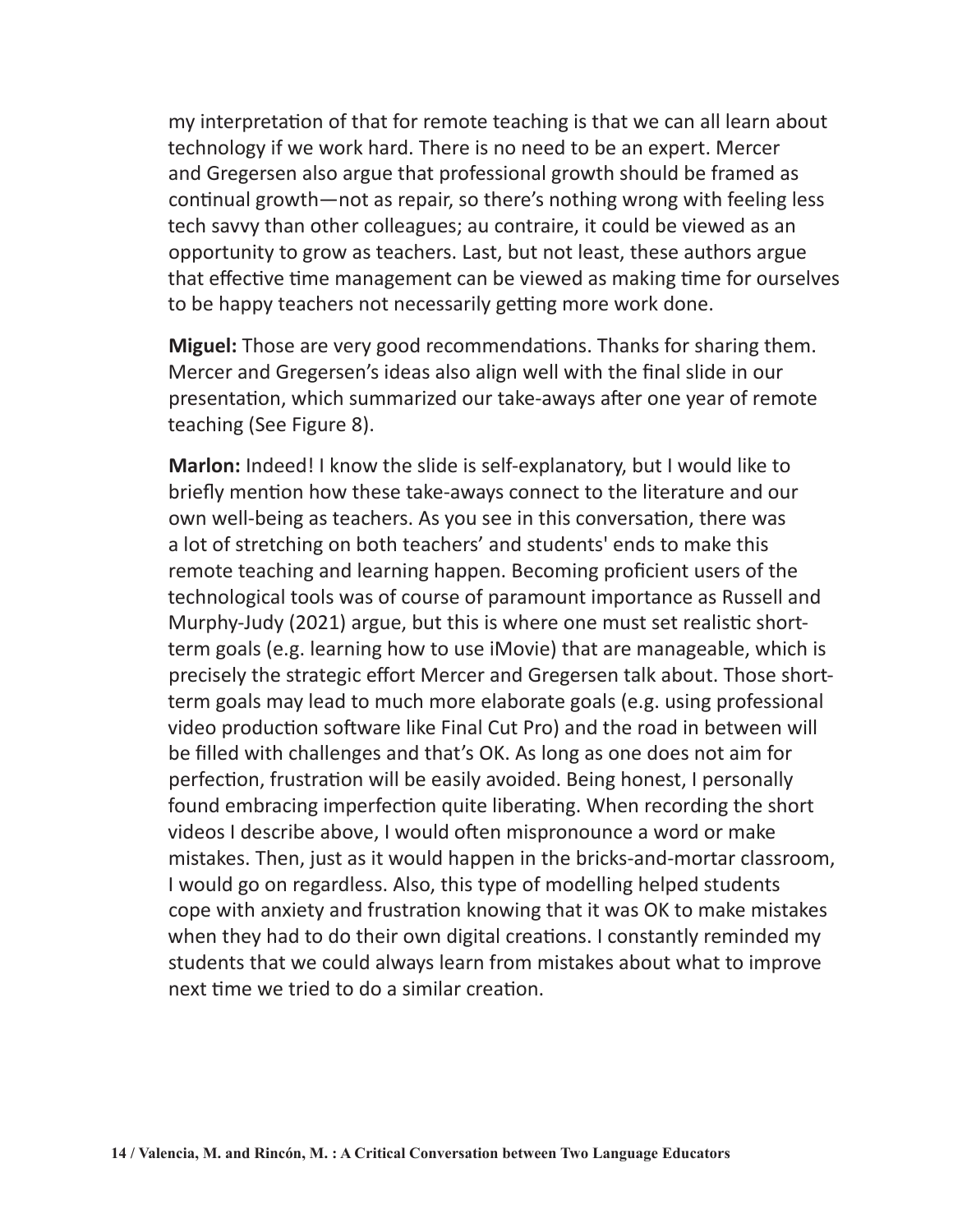my interpretation of that for remote teaching is that we can all learn about technology if we work hard. There is no need to be an expert. Mercer and Gregersen also argue that professional growth should be framed as continual growth—not as repair, so there's nothing wrong with feeling less tech savvy than other colleagues; au contraire, it could be viewed as an opportunity to grow as teachers. Last, but not least, these authors argue that effective time management can be viewed as making time for ourselves to be happy teachers not necessarily getting more work done.

**Miguel:** Those are very good recommendations. Thanks for sharing them. Mercer and Gregersen's ideas also align well with the final slide in our presentation, which summarized our take-aways after one year of remote teaching (See Figure 8).

**Marlon:** Indeed! I know the slide is self-explanatory, but I would like to briefly mention how these take-aways connect to the literature and our own well-being as teachers. As you see in this conversation, there was a lot of stretching on both teachers' and students' ends to make this remote teaching and learning happen. Becoming proficient users of the technological tools was of course of paramount importance as Russell and Murphy-Judy (2021) argue, but this is where one must set realistic shortterm goals (e.g. learning how to use iMovie) that are manageable, which is precisely the strategic effort Mercer and Gregersen talk about. Those shortterm goals may lead to much more elaborate goals (e.g. using professional video production software like Final Cut Pro) and the road in between will be filled with challenges and that's OK. As long as one does not aim for perfection, frustration will be easily avoided. Being honest, I personally found embracing imperfection quite liberating. When recording the short videos I describe above, I would often mispronounce a word or make mistakes. Then, just as it would happen in the bricks-and-mortar classroom, I would go on regardless. Also, this type of modelling helped students cope with anxiety and frustration knowing that it was OK to make mistakes when they had to do their own digital creations. I constantly reminded my students that we could always learn from mistakes about what to improve next time we tried to do a similar creation.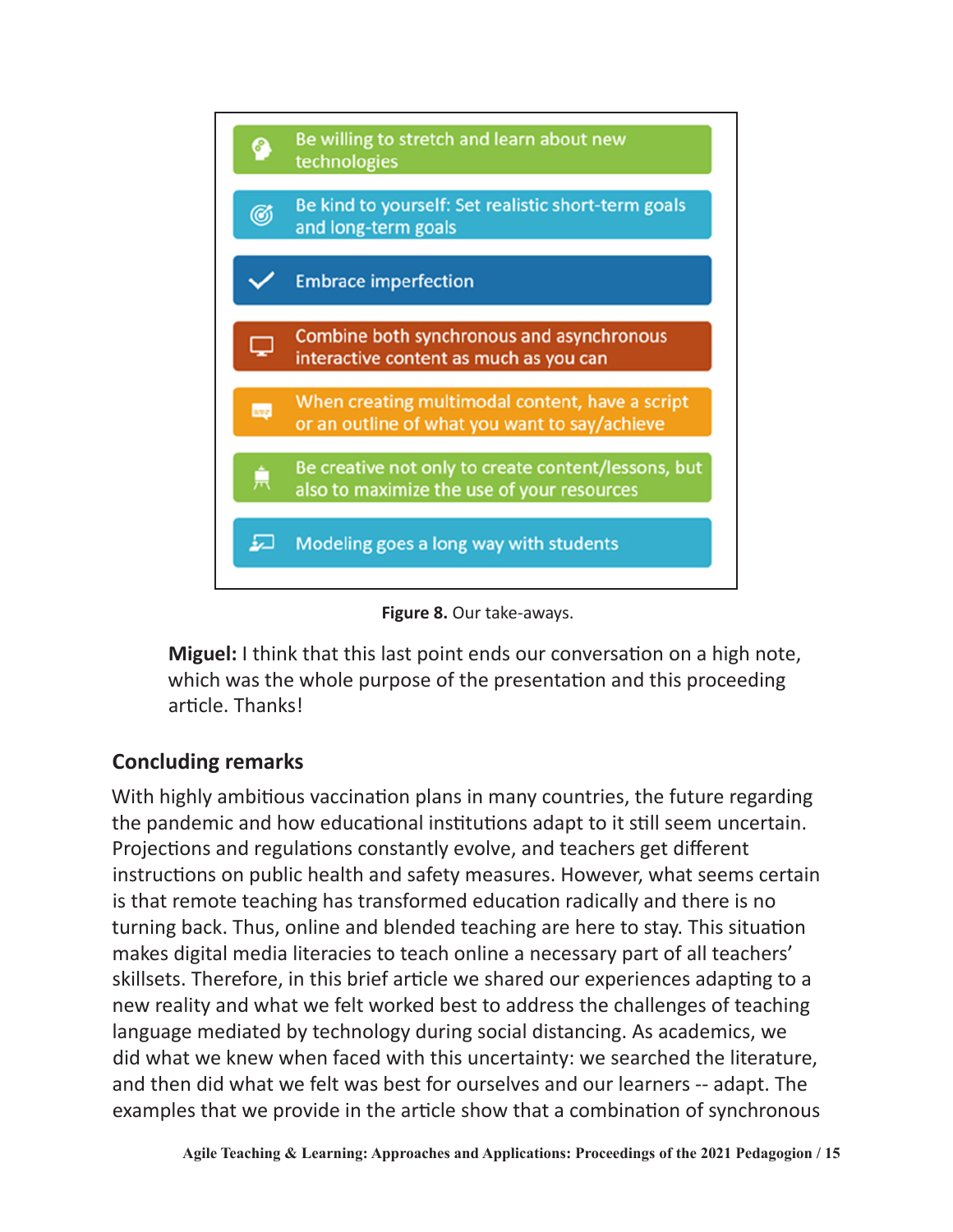



**Miguel:** I think that this last point ends our conversation on a high note, which was the whole purpose of the presentation and this proceeding article. Thanks!

#### **Concluding remarks**

With highly ambitious vaccination plans in many countries, the future regarding the pandemic and how educational institutions adapt to it still seem uncertain. Projections and regulations constantly evolve, and teachers get different instructions on public health and safety measures. However, what seems certain is that remote teaching has transformed education radically and there is no turning back. Thus, online and blended teaching are here to stay. This situation makes digital media literacies to teach online a necessary part of all teachers' skillsets. Therefore, in this brief article we shared our experiences adapting to a new reality and what we felt worked best to address the challenges of teaching language mediated by technology during social distancing. As academics, we did what we knew when faced with this uncertainty: we searched the literature, and then did what we felt was best for ourselves and our learners -- adapt. The examples that we provide in the article show that a combination of synchronous